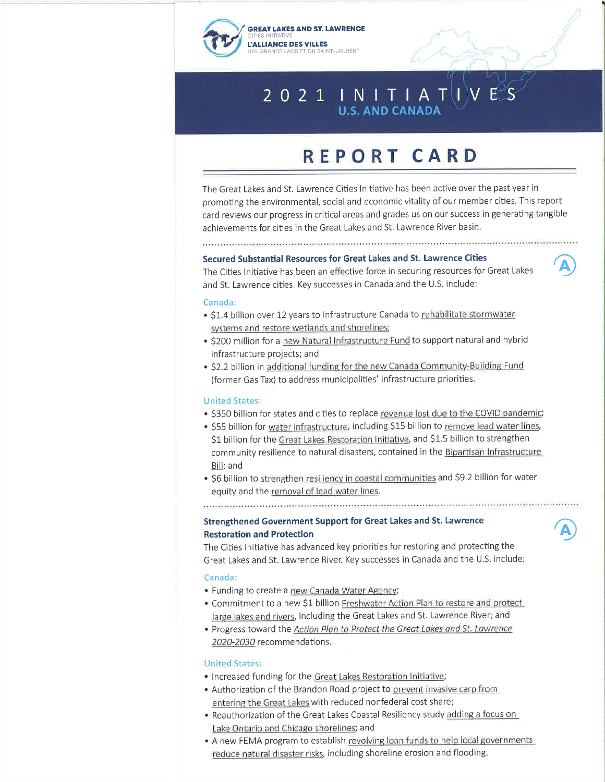



 $\overline{\mathbf{A}}$ 

 $\widehat{\mathbf{A}}$ 

# 2 0 2 1  $\parallel$  N I T  $\parallel$  A T  $\parallel$

# REPORT CARD

The Great Lakes and St. Lawrence Cities lnitiative has been active over the past year in promoting the environmental, social and economic vitality of our member cities. This report card reviews our progress in critical areas and grades us on our success in generating tangible achievements for cities in the Great Lakes and St. Lawrence River basin.

# Secured Substantial Resources for Great Lakes and St. Lawrence Cities

The Cities Initiative has been an effective force in securing resources for Great Lakes and St. Lawrence cities. Key successes in Canada and the U.S. include:

#### Canada:

- . \$1.4 billion over 12 years to Infrastructure Canada to rehabilitate stormwater svstems and restore wetlands and shorelines;
- . \$200 million for a new Natural Infrastructure Fund to support natural and hybrid infrastructure projects; and
- . \$2.2 billion in additional funding for the new Canada Community-Building Fund (former Gas Tax) to address municipalities' infrastructure priorities.

#### United Statesi

- . \$350 billion for states and cities to replace revenue lost due to the COVID pandemic;
- . \$55 billion for water infrastructure, including \$15 billion to remove lead water lines, \$1 billion for the Great Lakes Restoration Initiative, and \$1.5 billion to strengthen community resilience to natural disasters, contained in the Bipartisan lnfrastructure Bill;and
- . \$6 billion to strengthen resiliency in coastal communities and \$9.2 billion for water equity and the removal of lead water lines.

# Strengthened Government Support for Great Lakes and St. Lawrence Restoration and Protection

The Cities lnitiative has advanced key priorities for restoring and protecting the Great Lakes and St. Lawrence River. Keysuccesses in Canada and the U.S. include:

#### Canada:

- . Funding to create a new Canada Water Agency;
- . Commitment to a new \$1 billion Freshwater Action Plan to restore and protect large lakes and rivers, including the Great Lakes and St. Lawrence River; and
- . Progress toward the Action Plan to Protect the Great Lakes and St. Lawrence 2020-2030 recommendations.

#### United States:

- . lncreased funding for the Great Lakes Restoration lnitiative;
- . Authorization of the Brandon Road project to prevent invasive carp from entering the Great Lakes with reduced nonfederal cost share;
- . Reauthorization of the Great Lakes Coastal Resiliency study adding a focus on Lake Ontario and Chicago shorelines; and
- . A new FEMA program to establish revolving loan funds to help local governments reduce natural disaster risks, including shoreline erosion and flooding.